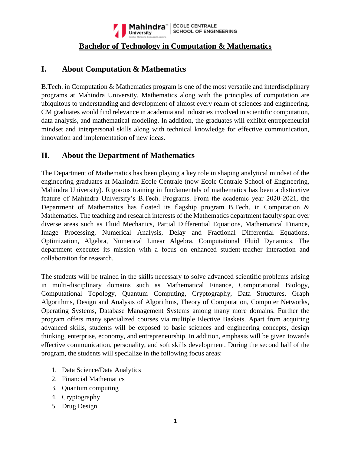

## **Bachelor of Technology in Computation & Mathematics**

# **I. About Computation & Mathematics**

B.Tech. in Computation & Mathematics program is one of the most versatile and interdisciplinary programs at Mahindra University. Mathematics along with the principles of computation are ubiquitous to understanding and development of almost every realm of sciences and engineering. CM graduates would find relevance in academia and industries involved in scientific computation, data analysis, and mathematical modeling. In addition, the graduates will exhibit entrepreneurial mindset and interpersonal skills along with technical knowledge for effective communication, innovation and implementation of new ideas.

## **II. About the Department of Mathematics**

The Department of Mathematics has been playing a key role in shaping analytical mindset of the engineering graduates at Mahindra Ecole Centrale (now Ecole Centrale School of Engineering, Mahindra University). Rigorous training in fundamentals of mathematics has been a distinctive feature of Mahindra University's B.Tech. Programs. From the academic year 2020-2021, the Department of Mathematics has floated its flagship program B.Tech. in Computation & Mathematics. The teaching and research interests of the Mathematics department faculty span over diverse areas such as Fluid Mechanics, Partial Differential Equations, Mathematical Finance, Image Processing, Numerical Analysis, Delay and Fractional Differential Equations, Optimization, Algebra, Numerical Linear Algebra, Computational Fluid Dynamics. The department executes its mission with a focus on enhanced student-teacher interaction and collaboration for research.

The students will be trained in the skills necessary to solve advanced scientific problems arising in multi-disciplinary domains such as Mathematical Finance, Computational Biology, Computational Topology, Quantum Computing, Cryptography, Data Structures, Graph Algorithms, Design and Analysis of Algorithms, Theory of Computation, Computer Networks, Operating Systems, Database Management Systems among many more domains. Further the program offers many specialized courses via multiple Elective Baskets. Apart from acquiring advanced skills, students will be exposed to basic sciences and engineering concepts, design thinking, enterprise, economy, and entrepreneurship. In addition, emphasis will be given towards effective communication, personality, and soft skills development. During the second half of the program, the students will specialize in the following focus areas:

- 1. Data Science/Data Analytics
- 2. Financial Mathematics
- 3. Quantum computing
- 4. Cryptography
- 5. Drug Design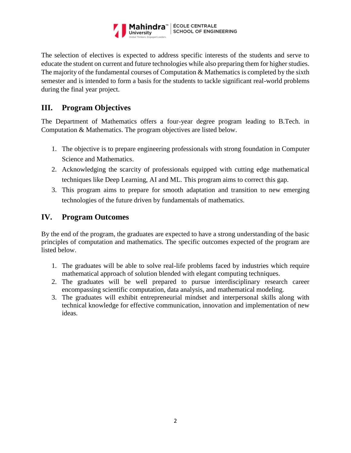

The selection of electives is expected to address specific interests of the students and serve to educate the student on current and future technologies while also preparing them for higher studies. The majority of the fundamental courses of Computation & Mathematics is completed by the sixth semester and is intended to form a basis for the students to tackle significant real-world problems during the final year project.

# **III. Program Objectives**

The Department of Mathematics offers a four-year degree program leading to B.Tech. in Computation & Mathematics. The program objectives are listed below.

- 1. The objective is to prepare engineering professionals with strong foundation in Computer Science and Mathematics.
- 2. Acknowledging the scarcity of professionals equipped with cutting edge mathematical techniques like Deep Learning, AI and ML. This program aims to correct this gap.
- 3. This program aims to prepare for smooth adaptation and transition to new emerging technologies of the future driven by fundamentals of mathematics.

## **IV. Program Outcomes**

By the end of the program, the graduates are expected to have a strong understanding of the basic principles of computation and mathematics. The specific outcomes expected of the program are listed below.

- 1. The graduates will be able to solve real-life problems faced by industries which require mathematical approach of solution blended with elegant computing techniques.
- 2. The graduates will be well prepared to pursue interdisciplinary research career encompassing scientific computation, data analysis, and mathematical modeling.
- 3. The graduates will exhibit entrepreneurial mindset and interpersonal skills along with technical knowledge for effective communication, innovation and implementation of new ideas.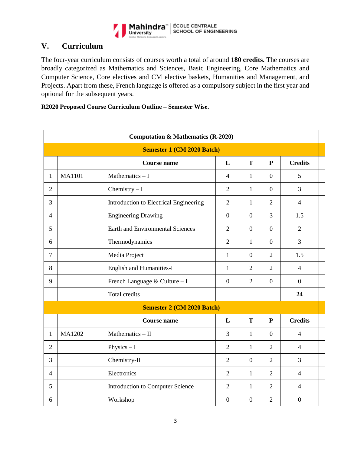

# **V. Curriculum**

The four-year curriculum consists of courses worth a total of around **180 credits.** The courses are broadly categorized as Mathematics and Sciences, Basic Engineering, Core Mathematics and Computer Science, Core electives and CM elective baskets, Humanities and Management, and Projects. Apart from these, French language is offered as a compulsory subject in the first year and optional for the subsequent years.

| R2020 Proposed Course Curriculum Outline – Semester Wise. |  |  |  |  |  |
|-----------------------------------------------------------|--|--|--|--|--|
|-----------------------------------------------------------|--|--|--|--|--|

|                | <b>Computation &amp; Mathematics (R-2020)</b> |                                         |                  |                  |                  |                  |  |  |  |
|----------------|-----------------------------------------------|-----------------------------------------|------------------|------------------|------------------|------------------|--|--|--|
|                | <b>Semester 1 (CM 2020 Batch)</b>             |                                         |                  |                  |                  |                  |  |  |  |
|                |                                               | <b>Course name</b>                      | L                | T                | $\mathbf{P}$     | <b>Credits</b>   |  |  |  |
| 1              | <b>MA1101</b>                                 | Mathematics $-I$                        | $\overline{4}$   | $\mathbf{1}$     | $\overline{0}$   | 5                |  |  |  |
| $\overline{2}$ |                                               | Chemistry $-I$                          | $\overline{2}$   | $\mathbf{1}$     | $\boldsymbol{0}$ | $\overline{3}$   |  |  |  |
| 3              |                                               | Introduction to Electrical Engineering  | $\overline{2}$   | $\mathbf{1}$     | $\overline{2}$   | $\overline{4}$   |  |  |  |
| $\overline{4}$ |                                               | <b>Engineering Drawing</b>              | $\overline{0}$   | $\overline{0}$   | 3                | 1.5              |  |  |  |
| 5              |                                               | <b>Earth and Environmental Sciences</b> | $\overline{2}$   | $\overline{0}$   | $\overline{0}$   | $\overline{2}$   |  |  |  |
| 6              |                                               | Thermodynamics                          | $\overline{2}$   | $\mathbf{1}$     | $\overline{0}$   | $\overline{3}$   |  |  |  |
| $\overline{7}$ |                                               | Media Project                           | $\mathbf{1}$     | $\overline{0}$   | $\overline{2}$   | 1.5              |  |  |  |
| 8              |                                               | <b>English and Humanities-I</b>         | $\mathbf{1}$     | $\overline{2}$   | $\overline{2}$   | $\overline{4}$   |  |  |  |
| 9              |                                               | French Language & Culture - I           | $\overline{0}$   | $\overline{2}$   | $\overline{0}$   | $\overline{0}$   |  |  |  |
|                |                                               | Total credits                           |                  |                  |                  | 24               |  |  |  |
|                |                                               | <b>Semester 2 (CM 2020 Batch)</b>       |                  |                  |                  |                  |  |  |  |
|                |                                               | <b>Course name</b>                      | L                | T                | $\mathbf{P}$     | <b>Credits</b>   |  |  |  |
| 1              | MA1202                                        | Mathematics $-$ II                      | 3                | $\mathbf{1}$     | $\overline{0}$   | $\overline{4}$   |  |  |  |
| $\overline{2}$ |                                               | Physics $-I$                            | $\overline{2}$   | $\mathbf{1}$     | $\overline{2}$   | $\overline{4}$   |  |  |  |
| 3              |                                               | Chemistry-II                            | $\overline{2}$   | $\mathbf{0}$     | $\overline{2}$   | 3                |  |  |  |
| $\overline{4}$ |                                               | Electronics                             | $\overline{2}$   | $\mathbf{1}$     | $\overline{2}$   | $\overline{4}$   |  |  |  |
| 5              |                                               | Introduction to Computer Science        | $\overline{2}$   | $\mathbf{1}$     | $\overline{2}$   | $\overline{4}$   |  |  |  |
| 6              |                                               | Workshop                                | $\boldsymbol{0}$ | $\boldsymbol{0}$ | $\overline{2}$   | $\boldsymbol{0}$ |  |  |  |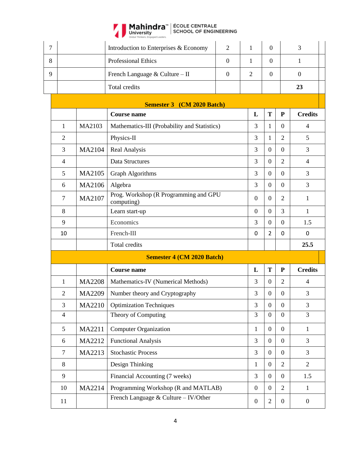

| $\overline{7}$ |                |               | Introduction to Enterprises & Economy                   | $\overline{2}$ | $\mathbf{1}$     | $\boldsymbol{0}$ |                  | 3              |
|----------------|----------------|---------------|---------------------------------------------------------|----------------|------------------|------------------|------------------|----------------|
| 8              |                |               | <b>Professional Ethics</b>                              | $\mathbf{0}$   | 1                | $\overline{0}$   |                  | 1              |
| 9              |                |               | French Language & Culture - II                          | $\overline{0}$ | $\overline{2}$   | $\overline{0}$   |                  | $\overline{0}$ |
|                |                |               | Total credits                                           |                |                  |                  |                  | 23             |
|                |                |               |                                                         |                |                  |                  |                  |                |
|                |                |               | <b>Semester 3</b> (CM 2020 Batch)<br><b>Course name</b> |                | L                | T                | ${\bf P}$        | <b>Credits</b> |
|                | 1              | MA2103        | Mathematics-III (Probability and Statistics)            |                | 3                | 1                | $\overline{0}$   | 4              |
|                | $\overline{2}$ |               | Physics-II                                              |                | 3                | 1                | $\overline{2}$   | 5              |
|                | 3              | MA2104        | Real Analysis                                           |                | 3                | $\overline{0}$   | $\overline{0}$   | 3              |
|                | $\overline{4}$ |               | Data Structures                                         |                | 3                | $\overline{0}$   | $\overline{2}$   | $\overline{4}$ |
|                | 5              | MA2105        | <b>Graph Algorithms</b>                                 |                | 3                | $\boldsymbol{0}$ | $\overline{0}$   | 3              |
|                | 6              | MA2106        | Algebra                                                 |                | 3                | $\boldsymbol{0}$ | $\boldsymbol{0}$ | 3              |
|                | $\tau$         | MA2107        | Prog. Workshop (R Programming and GPU                   |                | $\boldsymbol{0}$ | $\overline{0}$   | $\overline{2}$   | $\mathbf{1}$   |
|                |                |               | computing)                                              |                |                  |                  |                  |                |
|                | 8              |               | Learn start-up                                          |                | $\boldsymbol{0}$ | $\overline{0}$   | 3                | $\mathbf{1}$   |
|                | 9              |               | Economics                                               |                | 3                | $\overline{0}$   | $\overline{0}$   | 1.5            |
|                | 10             |               | French-III                                              |                | 0                | $\overline{2}$   | 0                | 0              |
|                |                |               | Total credits                                           |                |                  |                  |                  | 25.5           |
|                |                |               | <b>Semester 4 (CM 2020 Batch)</b>                       |                |                  |                  |                  |                |
|                |                |               | <b>Course name</b>                                      |                | L                | T                | ${\bf P}$        | <b>Credits</b> |
|                | 1              | <b>MA2208</b> | Mathematics-IV (Numerical Methods)                      |                | 3                | $\boldsymbol{0}$ | 2                | 4              |
|                | $\overline{2}$ | MA2209        | Number theory and Cryptography                          |                | 3                | $\boldsymbol{0}$ | $\boldsymbol{0}$ | 3              |
|                | 3              | MA2210        | <b>Optimization Techniques</b>                          |                | 3                | $\overline{0}$   | $\overline{0}$   | 3              |
|                | $\overline{4}$ |               | Theory of Computing                                     |                | 3                | $\boldsymbol{0}$ | $\overline{0}$   | 3              |
|                | 5              | MA2211        | <b>Computer Organization</b>                            |                | $\mathbf{1}$     | $\boldsymbol{0}$ | $\boldsymbol{0}$ | $\mathbf{1}$   |
|                | 6              | MA2212        | <b>Functional Analysis</b>                              |                | 3                | $\boldsymbol{0}$ | $\mathbf{0}$     | 3              |
|                | $\overline{7}$ | MA2213        | <b>Stochastic Process</b>                               |                | 3                | $\overline{0}$   | $\boldsymbol{0}$ | $\overline{3}$ |
|                | 8              |               | Design Thinking                                         |                | $\mathbf{1}$     | $\overline{0}$   | $\overline{2}$   | $\overline{2}$ |
|                | 9              |               | Financial Accounting (7 weeks)                          |                | 3                | $\boldsymbol{0}$ | $\boldsymbol{0}$ | 1.5            |
|                |                |               |                                                         |                |                  |                  |                  |                |
|                | 10             | MA2214        | Programming Workshop (R and MATLAB)                     |                | $\overline{0}$   | $\boldsymbol{0}$ | $\overline{2}$   | $\mathbf{1}$   |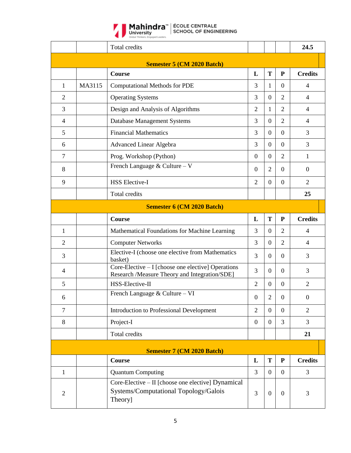

Mahindra<sup>"</sup> | ÉCOLE CENTRALE<br>University | SCHOOL OF ENGINEERING

|                |                                   | <b>Total credits</b>                                                                                   |                  |                  |                | 24.5           |  |  |  |
|----------------|-----------------------------------|--------------------------------------------------------------------------------------------------------|------------------|------------------|----------------|----------------|--|--|--|
|                |                                   | <b>Semester 5 (CM 2020 Batch)</b>                                                                      |                  |                  |                |                |  |  |  |
|                |                                   | <b>Course</b>                                                                                          | L                | T                | ${\bf P}$      | <b>Credits</b> |  |  |  |
| 1              | MA3115                            | <b>Computational Methods for PDE</b>                                                                   | 3                | 1                | $\Omega$       | $\overline{4}$ |  |  |  |
| $\overline{2}$ |                                   | <b>Operating Systems</b>                                                                               | 3                | $\Omega$         | 2              | $\overline{4}$ |  |  |  |
| 3              |                                   | Design and Analysis of Algorithms                                                                      | $\overline{2}$   | 1                | 2              | $\overline{4}$ |  |  |  |
| $\overline{4}$ |                                   | Database Management Systems                                                                            | 3                | $\Omega$         | 2              | $\overline{4}$ |  |  |  |
| 5              |                                   | <b>Financial Mathematics</b>                                                                           | 3                | $\overline{0}$   | $\overline{0}$ | 3              |  |  |  |
| 6              |                                   | <b>Advanced Linear Algebra</b>                                                                         | 3                | $\theta$         | $\overline{0}$ | 3              |  |  |  |
| $\tau$         |                                   | Prog. Workshop (Python)                                                                                | $\overline{0}$   | $\Omega$         | $\overline{2}$ | $\mathbf{1}$   |  |  |  |
| 8              |                                   | French Language & Culture – V                                                                          | $\Omega$         | 2                | $\Omega$       | $\overline{0}$ |  |  |  |
| 9              |                                   | <b>HSS Elective-I</b>                                                                                  | $\overline{2}$   | $\Omega$         | $\overline{0}$ | $\overline{2}$ |  |  |  |
|                |                                   | Total credits                                                                                          |                  |                  |                | 25             |  |  |  |
|                | <b>Semester 6 (CM 2020 Batch)</b> |                                                                                                        |                  |                  |                |                |  |  |  |
|                |                                   | <b>Course</b>                                                                                          | L                | T                | ${\bf P}$      | <b>Credits</b> |  |  |  |
| 1              |                                   | Mathematical Foundations for Machine Learning                                                          | 3                | $\Omega$         | 2              | $\overline{4}$ |  |  |  |
| $\overline{2}$ |                                   | <b>Computer Networks</b>                                                                               | 3                | $\theta$         | 2              | $\overline{4}$ |  |  |  |
| 3              |                                   | Elective-I (choose one elective from Mathematics<br>basket)                                            | 3                | $\overline{0}$   | $\overline{0}$ | 3              |  |  |  |
| $\overline{4}$ |                                   | Core-Elective $-1$ [choose one elective] Operations<br>Research /Measure Theory and Integration/SDE]   | 3                | $\Omega$         | $\Omega$       | 3              |  |  |  |
| 5              |                                   | HSS-Elective-II                                                                                        | $\overline{2}$   | $\theta$         | $\overline{0}$ | $\overline{2}$ |  |  |  |
| 6              |                                   | French Language & Culture - VI                                                                         | $\boldsymbol{0}$ | $\overline{2}$   | $\overline{0}$ | $\mathbf{0}$   |  |  |  |
| $\overline{7}$ |                                   | Introduction to Professional Development                                                               | $\overline{2}$   | $\overline{0}$   | $\overline{0}$ | $\overline{2}$ |  |  |  |
| $8\,$          |                                   | Project-I                                                                                              | $\overline{0}$   | $\theta$         | 3              | $\overline{3}$ |  |  |  |
|                |                                   | Total credits                                                                                          |                  |                  |                | 21             |  |  |  |
|                |                                   | <b>Semester 7 (CM 2020 Batch)</b>                                                                      |                  |                  |                |                |  |  |  |
|                |                                   | <b>Course</b>                                                                                          | L                | T                | ${\bf P}$      | <b>Credits</b> |  |  |  |
| $\mathbf{1}$   |                                   | <b>Quantum Computing</b>                                                                               | $\overline{3}$   | $\theta$         | $\overline{0}$ | 3              |  |  |  |
| $\mathfrak{2}$ |                                   | Core-Elective – II [choose one elective] Dynamical<br>Systems/Computational Topology/Galois<br>Theory] | 3                | $\boldsymbol{0}$ | $\overline{0}$ | 3              |  |  |  |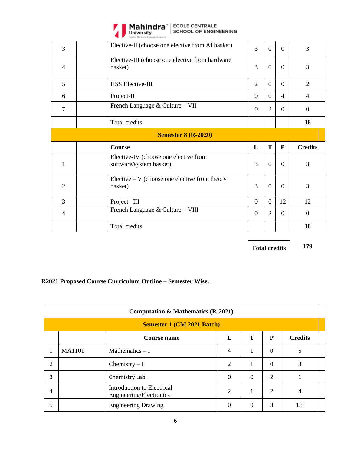

Mahindra<sup>"</sup> | ÉCOLE CENTRALE<br>University | SCHOOL OF ENGINEERING

| 3              | Elective-II (choose one elective from AI basket)                 | 3              | $\Omega$       | $\Omega$       | 3                |
|----------------|------------------------------------------------------------------|----------------|----------------|----------------|------------------|
| $\overline{4}$ | Elective-III (choose one elective from hardware<br>basket)       | 3              | $\theta$       | $\Omega$       | 3                |
| 5              | <b>HSS Elective-III</b>                                          | $\overline{2}$ | $\Omega$       | $\Omega$       | $\overline{2}$   |
| 6              | Project-II                                                       | $\Omega$       | $\Omega$       | 4              | $\overline{4}$   |
| 7              | French Language & Culture - VII                                  | $\overline{0}$ | $\overline{2}$ | $\Omega$       | $\overline{0}$   |
|                | Total credits                                                    |                |                |                | 18               |
|                |                                                                  |                |                |                |                  |
|                | <b>Semester 8 (R-2020)</b>                                       |                |                |                |                  |
|                | Course                                                           | L              | T              | ${\bf P}$      | <b>Credits</b>   |
| 1              | Elective-IV (choose one elective from<br>software/system basket) | 3              | $\overline{0}$ | $\overline{0}$ | 3                |
| 2              | Elective $-V$ (choose one elective from theory<br>basket)        | 3              | $\overline{0}$ | $\Omega$       | 3                |
| $\overline{3}$ | Project-III                                                      | $\overline{0}$ | $\overline{0}$ | 12             | 12               |
| $\overline{4}$ | French Language & Culture - VIII                                 | $\overline{0}$ | $\overline{2}$ | $\overline{0}$ | $\boldsymbol{0}$ |

**Total credits 179**

### **R2021 Proposed Course Curriculum Outline – Semester Wise.**

|    | <b>Computation &amp; Mathematics (R-2021)</b> |                                                       |                |          |                |     |  |  |  |
|----|-----------------------------------------------|-------------------------------------------------------|----------------|----------|----------------|-----|--|--|--|
|    |                                               | <b>Semester 1 (CM 2021 Batch)</b>                     |                |          |                |     |  |  |  |
|    | Т<br>P<br><b>Credits</b><br>L<br>Course name  |                                                       |                |          |                |     |  |  |  |
| -1 | <b>MA1101</b>                                 | Mathematics $-I$                                      | 4              |          | $\Omega$       | 5   |  |  |  |
| 2  |                                               | Chemistry $-I$                                        | 2              |          | $\Omega$       | 3   |  |  |  |
| 3  |                                               | Chemistry Lab                                         | 0              | 0        | $\overline{2}$ |     |  |  |  |
| 4  |                                               | Introduction to Electrical<br>Engineering/Electronics | $\overline{2}$ |          | $\overline{2}$ | 4   |  |  |  |
| 5  |                                               | <b>Engineering Drawing</b>                            | $\theta$       | $\theta$ | 3              | 1.5 |  |  |  |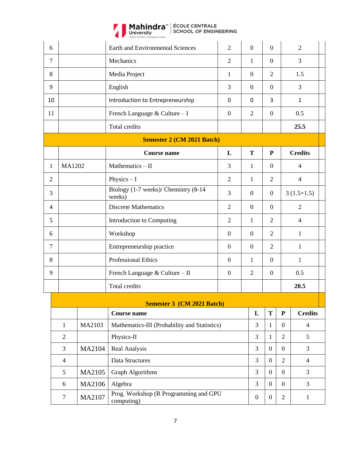

Mahindra<sup>"</sup> | ÉCOLE CENTRALE<br>University | SCHOOL OF ENGINEERING

| 6              |                |        | <b>Earth and Environmental Sciences</b>             | $\overline{2}$   | $\boldsymbol{0}$ | $\boldsymbol{0}$ |                | $\overline{2}$ |
|----------------|----------------|--------|-----------------------------------------------------|------------------|------------------|------------------|----------------|----------------|
| $\overline{7}$ |                |        | Mechanics                                           | $\overline{2}$   | $\mathbf{1}$     | $\overline{0}$   |                | 3              |
| 8              |                |        | Media Project                                       | 1                | $\boldsymbol{0}$ | $\overline{2}$   |                | 1.5            |
| 9              |                |        | English                                             | 3                | $\overline{0}$   | $\overline{0}$   |                | 3              |
| 10             |                |        | Introduction to Entrepreneurship                    | 0                | 0                | 3                |                | $\mathbf{1}$   |
| 11             |                |        | French Language & Culture - I                       | $\overline{0}$   | $\overline{2}$   | $\boldsymbol{0}$ |                | 0.5            |
|                |                |        | Total credits                                       |                  |                  |                  |                | 25.5           |
|                |                |        | <b>Semester 2 (CM 2021 Batch)</b>                   |                  |                  |                  |                |                |
|                |                |        | <b>Course name</b>                                  | L                | T                | ${\bf P}$        |                | <b>Credits</b> |
| 1              | MA1202         |        | Mathematics - II                                    | 3                | 1                | $\overline{0}$   |                | $\overline{4}$ |
| 2              |                |        | Physics $-I$                                        | $\overline{2}$   | $\mathbf{1}$     | $\overline{2}$   |                | $\overline{4}$ |
| 3              |                |        | Biology (1-7 weeks)/ Chemistry (8-14<br>weeks)      | 3                | $\mathbf{0}$     | $\boldsymbol{0}$ |                | $3(1.5+1.5)$   |
| $\overline{4}$ |                |        | <b>Discrete Mathematics</b>                         | $\overline{2}$   | $\mathbf{0}$     | $\boldsymbol{0}$ |                | $\overline{2}$ |
| 5              |                |        | Introduction to Computing                           | $\mathfrak{2}$   | $\mathbf{1}$     | $\overline{2}$   |                | $\overline{4}$ |
| 6              |                |        | Workshop                                            | $\mathbf{0}$     | $\mathbf{0}$     | $\overline{2}$   |                | $\mathbf{1}$   |
| $\overline{7}$ |                |        | Entrepreneurship practice                           | $\mathbf{0}$     | $\overline{0}$   | $\overline{2}$   |                | $\mathbf{1}$   |
| 8              |                |        | Professional Ethics                                 | $\mathbf{0}$     | $\mathbf{1}$     | $\boldsymbol{0}$ |                | $\mathbf{1}$   |
| 9              |                |        | French Language & Culture - II                      | $\boldsymbol{0}$ | $\overline{2}$   | $\overline{0}$   |                | 0.5            |
|                |                |        | Total credits                                       |                  |                  |                  |                | 20.5           |
|                |                |        | <b>Semester 3 (CM 2021 Batch)</b>                   |                  |                  |                  |                |                |
|                |                |        | <b>Course name</b>                                  |                  | L                | T                | ${\bf P}$      | <b>Credits</b> |
|                | $\mathbf{1}$   | MA2103 | Mathematics-III (Probability and Statistics)        |                  | 3                | $\mathbf{1}$     | $\mathbf{0}$   | $\overline{4}$ |
|                | $\overline{2}$ |        | Physics-II                                          |                  | 3                | $\mathbf{1}$     | $\overline{2}$ | 5              |
|                | 3              | MA2104 | Real Analysis                                       |                  | 3                | $\boldsymbol{0}$ | $\mathbf{0}$   | 3              |
|                | $\overline{4}$ |        | Data Structures                                     |                  | 3                | $\overline{0}$   | $\overline{2}$ | $\overline{4}$ |
|                | 5              | MA2105 | <b>Graph Algorithms</b>                             |                  | 3                | $\overline{0}$   | $\mathbf{0}$   | 3              |
|                | 6              | MA2106 | Algebra                                             |                  | 3                | $\overline{0}$   | $\overline{0}$ | 3              |
|                | $\tau$         | MA2107 | Prog. Workshop (R Programming and GPU<br>computing) |                  | $\boldsymbol{0}$ | $\boldsymbol{0}$ | $\overline{2}$ | $\mathbf{1}$   |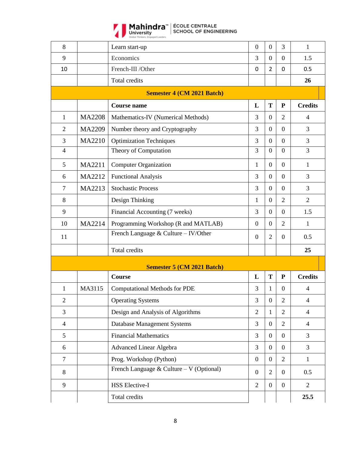

| 8              |               | Learn start-up                           | $\boldsymbol{0}$ | $\mathbf{0}$     | 3                | $\mathbf{1}$   |
|----------------|---------------|------------------------------------------|------------------|------------------|------------------|----------------|
| 9              |               | Economics                                | 3                | $\overline{0}$   | $\theta$         | 1.5            |
| 10             |               | French-III /Other                        | 0                | $\overline{2}$   | 0                | 0.5            |
|                |               | Total credits                            |                  |                  |                  | 26             |
|                |               | <b>Semester 4 (CM 2021 Batch)</b>        |                  |                  |                  |                |
|                |               | <b>Course name</b>                       | L                | T                | ${\bf P}$        | <b>Credits</b> |
| $\mathbf{1}$   | <b>MA2208</b> | Mathematics-IV (Numerical Methods)       | 3                | $\overline{0}$   | $\overline{2}$   | $\overline{4}$ |
| $\overline{2}$ | MA2209        | Number theory and Cryptography           | 3                | $\overline{0}$   | $\overline{0}$   | 3              |
| 3              | MA2210        | <b>Optimization Techniques</b>           | 3                | $\overline{0}$   | $\Omega$         | $\overline{3}$ |
| $\overline{4}$ |               | Theory of Computation                    | 3                | $\overline{0}$   | $\overline{0}$   | 3              |
| 5              | MA2211        | <b>Computer Organization</b>             | $\mathbf{1}$     | $\overline{0}$   | $\overline{0}$   | $\mathbf{1}$   |
| 6              | MA2212        | <b>Functional Analysis</b>               | 3                | $\overline{0}$   | $\overline{0}$   | 3              |
| $\tau$         | MA2213        | <b>Stochastic Process</b>                | 3                | $\overline{0}$   | $\theta$         | 3              |
| 8              |               | Design Thinking                          | $\mathbf{1}$     | $\overline{0}$   | $\overline{2}$   | $\overline{2}$ |
| 9              |               | Financial Accounting (7 weeks)           | 3                | $\overline{0}$   | $\theta$         | 1.5            |
| 10             | MA2214        | Programming Workshop (R and MATLAB)      | $\boldsymbol{0}$ | $\overline{0}$   | $\overline{2}$   | 1              |
| 11             |               | French Language & Culture - IV/Other     | $\boldsymbol{0}$ | $\overline{2}$   | $\overline{0}$   | 0.5            |
|                |               | Total credits                            |                  |                  |                  | 25             |
|                |               | <b>Semester 5 (CM 2021 Batch)</b>        |                  |                  |                  |                |
|                |               | <b>Course</b>                            | L                | T                | ${\bf P}$        | <b>Credits</b> |
| 1              | MA3115        | <b>Computational Methods for PDE</b>     | 3                | 1                | $\boldsymbol{0}$ | $\overline{4}$ |
| $\overline{2}$ |               | <b>Operating Systems</b>                 | 3                | $\overline{0}$   | $\overline{2}$   | $\overline{4}$ |
| 3              |               | Design and Analysis of Algorithms        | $\overline{2}$   | $\mathbf{1}$     | $\overline{2}$   | $\overline{4}$ |
| $\overline{4}$ |               | Database Management Systems              | 3                | $\boldsymbol{0}$ | $\overline{2}$   | $\overline{4}$ |
| 5              |               | <b>Financial Mathematics</b>             | 3                | $\overline{0}$   | $\overline{0}$   | 3              |
| 6              |               | <b>Advanced Linear Algebra</b>           | 3                | $\mathbf{0}$     | $\mathbf{0}$     | $\overline{3}$ |
| $\tau$         |               | Prog. Workshop (Python)                  | $\overline{0}$   | $\boldsymbol{0}$ | $\overline{2}$   | $\mathbf{1}$   |
| 8              |               | French Language & Culture - V (Optional) | $\boldsymbol{0}$ | $\overline{2}$   | $\overline{0}$   | 0.5            |
| 9              |               | <b>HSS Elective-I</b>                    | $\overline{2}$   | $\boldsymbol{0}$ | $\overline{0}$   | $\overline{2}$ |
|                |               | Total credits                            |                  |                  |                  | 25.5           |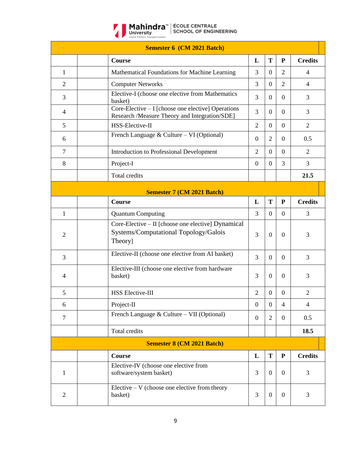

|                | <b>Semester 6 (CM 2021 Batch)</b>                                                                      |                  |                  |                  |                |
|----------------|--------------------------------------------------------------------------------------------------------|------------------|------------------|------------------|----------------|
|                | Course                                                                                                 | L                | T                | ${\bf P}$        | <b>Credits</b> |
| $\mathbf{1}$   | Mathematical Foundations for Machine Learning                                                          | 3                | $\boldsymbol{0}$ | $\overline{2}$   | $\overline{4}$ |
| $\overline{2}$ | <b>Computer Networks</b>                                                                               | 3                | $\overline{0}$   | $\overline{2}$   | $\overline{4}$ |
| 3              | Elective-I (choose one elective from Mathematics<br>basket)                                            | 3                | $\theta$         | $\overline{0}$   | 3              |
| 4              | Core-Elective – I [choose one elective] Operations<br>Research /Measure Theory and Integration/SDE]    | 3                | $\boldsymbol{0}$ | $\boldsymbol{0}$ | 3              |
| 5              | HSS-Elective-II                                                                                        | $\overline{2}$   | $\theta$         | $\overline{0}$   | $\overline{2}$ |
| 6              | French Language & Culture – VI (Optional)                                                              | $\boldsymbol{0}$ | $\overline{2}$   | $\overline{0}$   | 0.5            |
| $\tau$         | Introduction to Professional Development                                                               | $\overline{2}$   | $\overline{0}$   | $\overline{0}$   | $\overline{2}$ |
| 8              | Project-I                                                                                              | $\overline{0}$   | $\overline{0}$   | 3                | 3              |
|                | Total credits                                                                                          |                  |                  |                  | 21.5           |
|                | <b>Semester 7 (CM 2021 Batch)</b>                                                                      |                  |                  |                  |                |
|                | <b>Course</b>                                                                                          | L                | T                | ${\bf P}$        | <b>Credits</b> |
| 1              | <b>Quantum Computing</b>                                                                               | 3                | $\overline{0}$   | $\Omega$         | 3              |
| $\overline{2}$ | Core-Elective - II [choose one elective] Dynamical<br>Systems/Computational Topology/Galois<br>Theory] | 3                | $\overline{0}$   | $\Omega$         | 3              |
| 3              | Elective-II (choose one elective from AI basket)                                                       | 3                | $\overline{0}$   | $\overline{0}$   | 3              |
| 4              | Elective-III (choose one elective from hardware<br>basket)                                             | 3                | $\overline{0}$   | $\overline{0}$   | 3              |
| 5              | <b>HSS Elective-III</b>                                                                                | $\overline{2}$   | $\boldsymbol{0}$ | $\overline{0}$   | $\mathfrak{2}$ |
| 6              | Project-II                                                                                             | $\mathbf{0}$     | $\boldsymbol{0}$ | $\overline{4}$   | $\overline{4}$ |
| $\overline{7}$ | French Language & Culture – VII (Optional)                                                             | $\overline{0}$   | $\overline{2}$   | $\mathbf{0}$     | 0.5            |
|                | Total credits                                                                                          |                  |                  |                  | 18.5           |
|                | <b>Semester 8 (CM 2021 Batch)</b>                                                                      |                  |                  |                  |                |
|                | <b>Course</b>                                                                                          | L                | T                | ${\bf P}$        | <b>Credits</b> |
| 1              | Elective-IV (choose one elective from<br>software/system basket)                                       | 3                | $\boldsymbol{0}$ | $\theta$         | 3              |
| $\overline{c}$ | Elective $-V$ (choose one elective from theory<br>basket)                                              | 3                | $\boldsymbol{0}$ | $\mathbf{0}$     | 3              |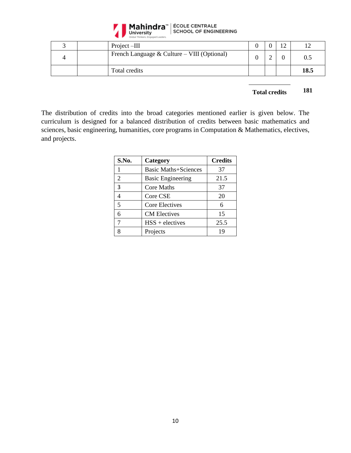

|  | Project-III                                 |   | $1^{\wedge}$ |      |
|--|---------------------------------------------|---|--------------|------|
|  | French Language & Culture – VIII (Optional) | ∸ |              | 0.5  |
|  | Total credits                               |   |              | 18.5 |

### **Total credits 181**

The distribution of credits into the broad categories mentioned earlier is given below. The curriculum is designed for a balanced distribution of credits between basic mathematics and sciences, basic engineering, humanities, core programs in Computation & Mathematics, electives, and projects.

| S.No.                    | Category                    | <b>Credits</b> |
|--------------------------|-----------------------------|----------------|
|                          | <b>Basic Maths+Sciences</b> | 37             |
| 2                        | <b>Basic Engineering</b>    | 21.5           |
| 3                        | <b>Core Maths</b>           | 37             |
|                          | Core CSE                    | 20             |
| $\overline{\phantom{0}}$ | Core Electives              | 6              |
| 6                        | <b>CM</b> Electives         | 15             |
| 7                        | $HSS +$ electives           | 25.5           |
|                          | Projects                    | 19             |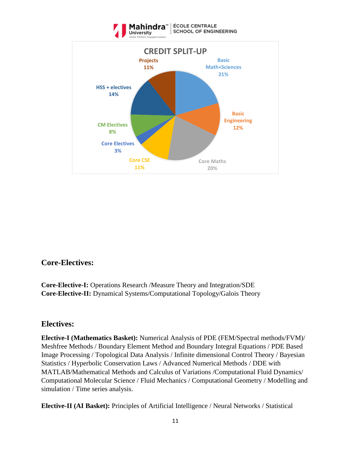

## **Core-Electives:**

**Core-Elective-I:** Operations Research /Measure Theory and Integration/SDE **Core-Elective-II:** Dynamical Systems/Computational Topology/Galois Theory

### **Electives:**

**Elective-I (Mathematics Basket):** Numerical Analysis of PDE (FEM/Spectral methods/FVM)/ Meshfree Methods / Boundary Element Method and Boundary Integral Equations / PDE Based Image Processing / Topological Data Analysis / Infinite dimensional Control Theory / Bayesian Statistics / Hyperbolic Conservation Laws / Advanced Numerical Methods / DDE with MATLAB/Mathematical Methods and Calculus of Variations /Computational Fluid Dynamics/ Computational Molecular Science / Fluid Mechanics / Computational Geometry / Modelling and simulation / Time series analysis.

**Elective-II (AI Basket):** Principles of Artificial Intelligence / Neural Networks / Statistical